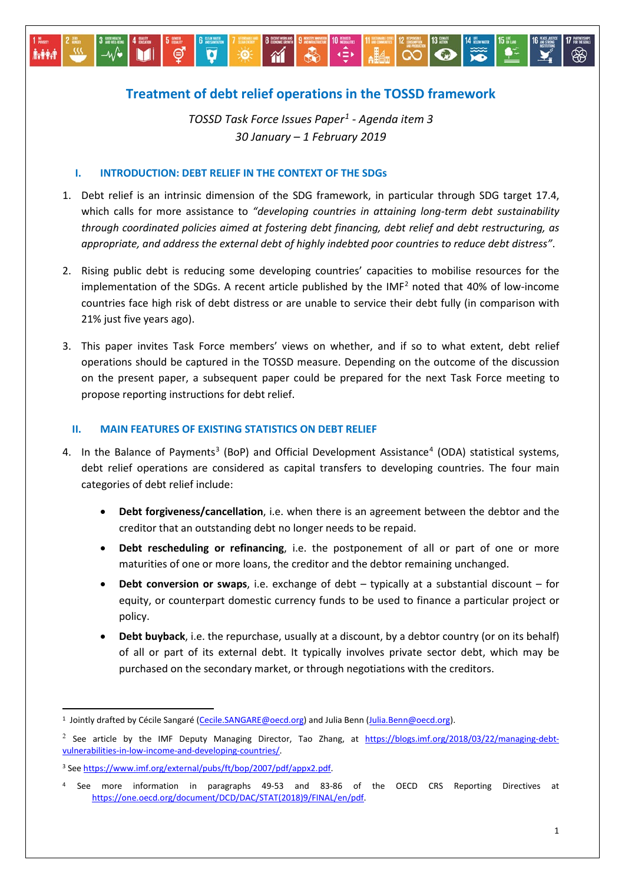# **Treatment of debt relief operations in the TOSSD framework**

 $\bigcirc$ 

*TOSSD Task Force Issues Paper[1](#page-0-0) - Agenda item 3 30 January – 1 February 2019*

## **I. INTRODUCTION: DEBT RELIEF IN THE CONTEXT OF THE SDGs**

**İvêra** 

- 1. Debt relief is an intrinsic dimension of the SDG framework, in particular through SDG target 17.4, which calls for more assistance to *"developing countries in attaining long-term debt sustainability through coordinated policies aimed at fostering debt financing, debt relief and debt restructuring, as appropriate, and address the external debt of highly indebted poor countries to reduce debt distress"*.
- 2. Rising public debt is reducing some developing countries' capacities to mobilise resources for the implementation of the SDGs. A recent article published by the IMF<sup>[2](#page-0-1)</sup> noted that 40% of low-income countries face high risk of debt distress or are unable to service their debt fully (in comparison with 21% just five years ago).
- 3. This paper invites Task Force members' views on whether, and if so to what extent, debt relief operations should be captured in the TOSSD measure. Depending on the outcome of the discussion on the present paper, a subsequent paper could be prepared for the next Task Force meeting to propose reporting instructions for debt relief.

## **II. MAIN FEATURES OF EXISTING STATISTICS ON DEBT RELIEF**

- 4. In the Balance of Payments<sup>[3](#page-0-2)</sup> (BoP) and Official Development Assistance<sup>[4](#page-0-3)</sup> (ODA) statistical systems, debt relief operations are considered as capital transfers to developing countries. The four main categories of debt relief include:
	- **Debt forgiveness/cancellation**, i.e. when there is an agreement between the debtor and the creditor that an outstanding debt no longer needs to be repaid.
	- **Debt rescheduling or refinancing**, i.e. the postponement of all or part of one or more maturities of one or more loans, the creditor and the debtor remaining unchanged.
	- **Debt conversion or swaps**, i.e. exchange of debt typically at a substantial discount for equity, or counterpart domestic currency funds to be used to finance a particular project or policy.
	- **Debt buyback**, i.e. the repurchase, usually at a discount, by a debtor country (or on its behalf) of all or part of its external debt. It typically involves private sector debt, which may be purchased on the secondary market, or through negotiations with the creditors.

<span id="page-0-0"></span><sup>&</sup>lt;sup>1</sup> Jointly drafted by Cécile Sangaré [\(Cecile.SANGARE@oecd.org\)](mailto:Cecile.SANGARE@oecd.org) and Julia Benn [\(Julia.Benn@oecd.org\)](mailto:Julia.Benn@oecd.org).

<span id="page-0-1"></span><sup>&</sup>lt;sup>2</sup> See article by the IMF Deputy Managing Director, Tao Zhang, at [https://blogs.imf.org/2018/03/22/managing-debt](https://blogs.imf.org/2018/03/22/managing-debt-vulnerabilities-in-low-income-and-developing-countries/)[vulnerabilities-in-low-income-and-developing-countries/.](https://blogs.imf.org/2018/03/22/managing-debt-vulnerabilities-in-low-income-and-developing-countries/)

<span id="page-0-2"></span><sup>3</sup> See [https://www.imf.org/external/pubs/ft/bop/2007/pdf/appx2.pdf.](https://www.imf.org/external/pubs/ft/bop/2007/pdf/appx2.pdf) 

<span id="page-0-3"></span>See more information in paragraphs 49-53 and 83-86 of the OECD CRS Reporting Directives at [https://one.oecd.org/document/DCD/DAC/STAT\(2018\)9/FINAL/en/pdf.](https://one.oecd.org/document/DCD/DAC/STAT(2018)9/FINAL/en/pdf)